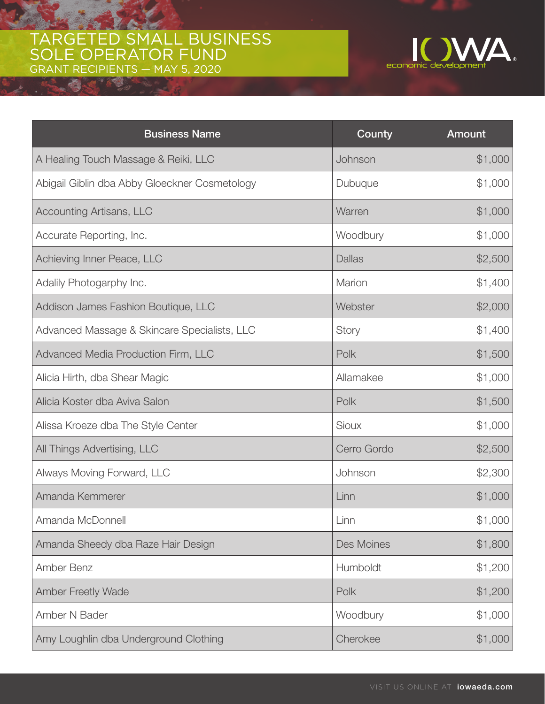## TARGETED SMALL BUSINESS SOLE OPERATOR FUND GRANT RECIPIENTS — MAY 5, 2020

43



| <b>Business Name</b>                          | County        | <b>Amount</b> |
|-----------------------------------------------|---------------|---------------|
| A Healing Touch Massage & Reiki, LLC          | Johnson       | \$1,000       |
| Abigail Giblin dba Abby Gloeckner Cosmetology | Dubuque       | \$1,000       |
| <b>Accounting Artisans, LLC</b>               | Warren        | \$1,000       |
| Accurate Reporting, Inc.                      | Woodbury      | \$1,000       |
| Achieving Inner Peace, LLC                    | <b>Dallas</b> | \$2,500       |
| Adalily Photogarphy Inc.                      | Marion        | \$1,400       |
| Addison James Fashion Boutique, LLC           | Webster       | \$2,000       |
| Advanced Massage & Skincare Specialists, LLC  | Story         | \$1,400       |
| Advanced Media Production Firm, LLC           | Polk          | \$1,500       |
| Alicia Hirth, dba Shear Magic                 | Allamakee     | \$1,000       |
| Alicia Koster dba Aviva Salon                 | Polk          | \$1,500       |
| Alissa Kroeze dba The Style Center            | <b>Sioux</b>  | \$1,000       |
| All Things Advertising, LLC                   | Cerro Gordo   | \$2,500       |
| Always Moving Forward, LLC                    | Johnson       | \$2,300       |
| Amanda Kemmerer                               | Linn          | \$1,000       |
| Amanda McDonnell                              | Linn          | \$1,000       |
| Amanda Sheedy dba Raze Hair Design            | Des Moines    | \$1,800       |
| Amber Benz                                    | Humboldt      | \$1,200       |
| <b>Amber Freetly Wade</b>                     | Polk          | \$1,200       |
| Amber N Bader                                 | Woodbury      | \$1,000       |
| Amy Loughlin dba Underground Clothing         | Cherokee      | \$1,000       |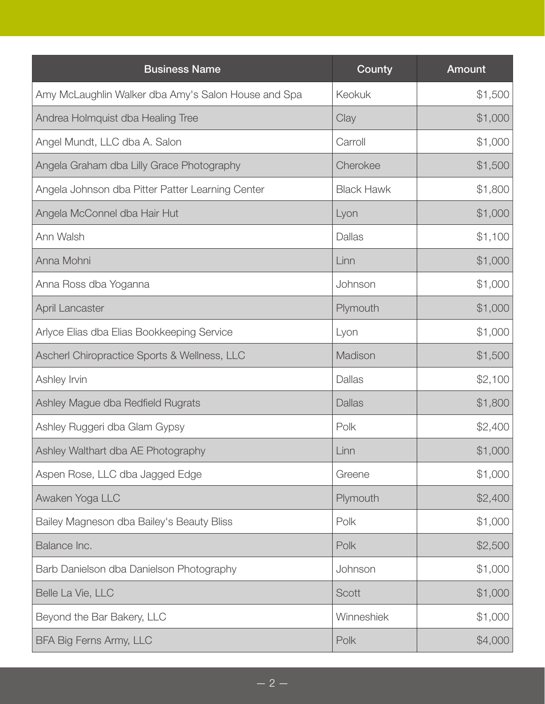| <b>Business Name</b>                                | County            | Amount  |
|-----------------------------------------------------|-------------------|---------|
| Amy McLaughlin Walker dba Amy's Salon House and Spa | Keokuk            | \$1,500 |
| Andrea Holmquist dba Healing Tree                   | Clay              | \$1,000 |
| Angel Mundt, LLC dba A. Salon                       | Carroll           | \$1,000 |
| Angela Graham dba Lilly Grace Photography           | Cherokee          | \$1,500 |
| Angela Johnson dba Pitter Patter Learning Center    | <b>Black Hawk</b> | \$1,800 |
| Angela McConnel dba Hair Hut                        | Lyon              | \$1,000 |
| Ann Walsh                                           | Dallas            | \$1,100 |
| Anna Mohni                                          | Linn              | \$1,000 |
| Anna Ross dba Yoganna                               | Johnson           | \$1,000 |
| April Lancaster                                     | Plymouth          | \$1,000 |
| Arlyce Elias dba Elias Bookkeeping Service          | Lyon              | \$1,000 |
| Ascherl Chiropractice Sports & Wellness, LLC        | Madison           | \$1,500 |
| Ashley Irvin                                        | <b>Dallas</b>     | \$2,100 |
| Ashley Mague dba Redfield Rugrats                   | <b>Dallas</b>     | \$1,800 |
| Ashley Ruggeri dba Glam Gypsy                       | Polk              | \$2,400 |
| Ashley Walthart dba AE Photography                  | Linn              | \$1,000 |
| Aspen Rose, LLC dba Jagged Edge                     | Greene            | \$1,000 |
| Awaken Yoga LLC                                     | Plymouth          | \$2,400 |
| Bailey Magneson dba Bailey's Beauty Bliss           | Polk              | \$1,000 |
| Balance Inc.                                        | Polk              | \$2,500 |
| Barb Danielson dba Danielson Photography            | Johnson           | \$1,000 |
| Belle La Vie, LLC                                   | Scott             | \$1,000 |
| Beyond the Bar Bakery, LLC                          | Winneshiek        | \$1,000 |
| BFA Big Ferns Army, LLC                             | Polk              | \$4,000 |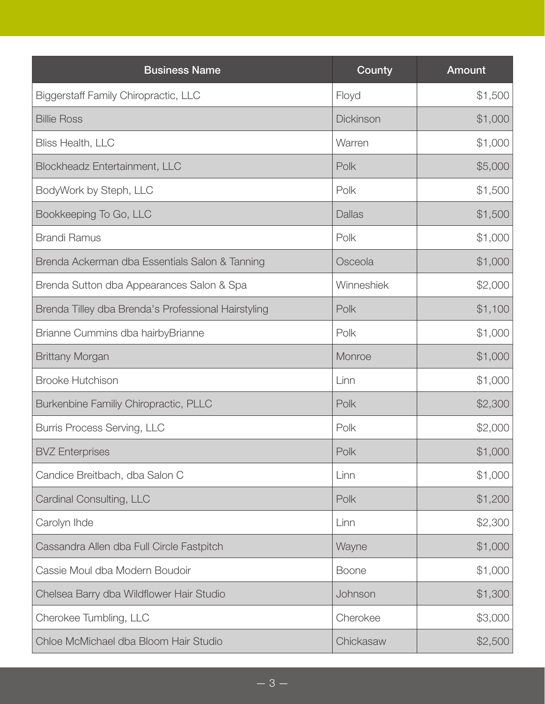| <b>Business Name</b>                                | County        | <b>Amount</b> |
|-----------------------------------------------------|---------------|---------------|
| <b>Biggerstaff Family Chiropractic, LLC</b>         | Floyd         | \$1,500       |
| <b>Billie Ross</b>                                  | Dickinson     | \$1,000       |
| <b>Bliss Health, LLC</b>                            | Warren        | \$1,000       |
| Blockheadz Entertainment, LLC                       | Polk          | \$5,000       |
| BodyWork by Steph, LLC                              | Polk          | \$1,500       |
| Bookkeeping To Go, LLC                              | <b>Dallas</b> | \$1,500       |
| <b>Brandi Ramus</b>                                 | Polk          | \$1,000       |
| Brenda Ackerman dba Essentials Salon & Tanning      | Osceola       | \$1,000       |
| Brenda Sutton dba Appearances Salon & Spa           | Winneshiek    | \$2,000       |
| Brenda Tilley dba Brenda's Professional Hairstyling | Polk          | \$1,100       |
| Brianne Cummins dba hairbyBrianne                   | Polk          | \$1,000       |
| <b>Brittany Morgan</b>                              | Monroe        | \$1,000       |
| <b>Brooke Hutchison</b>                             | Linn          | \$1,000       |
| Burkenbine Familiy Chiropractic, PLLC               | Polk          | \$2,300       |
| Burris Process Serving, LLC                         | Polk          | \$2,000       |
| <b>BVZ</b> Enterprises                              | Polk          | \$1,000       |
| Candice Breitbach, dba Salon C                      | Linn          | \$1,000       |
| Cardinal Consulting, LLC                            | Polk          | \$1,200       |
| Carolyn Ihde                                        | Linn          | \$2,300       |
| Cassandra Allen dba Full Circle Fastpitch           | Wayne         | \$1,000       |
| Cassie Moul dba Modern Boudoir                      | <b>Boone</b>  | \$1,000       |
| Chelsea Barry dba Wildflower Hair Studio            | Johnson       | \$1,300       |
| Cherokee Tumbling, LLC                              | Cherokee      | \$3,000       |
| Chloe McMichael dba Bloom Hair Studio               | Chickasaw     | \$2,500       |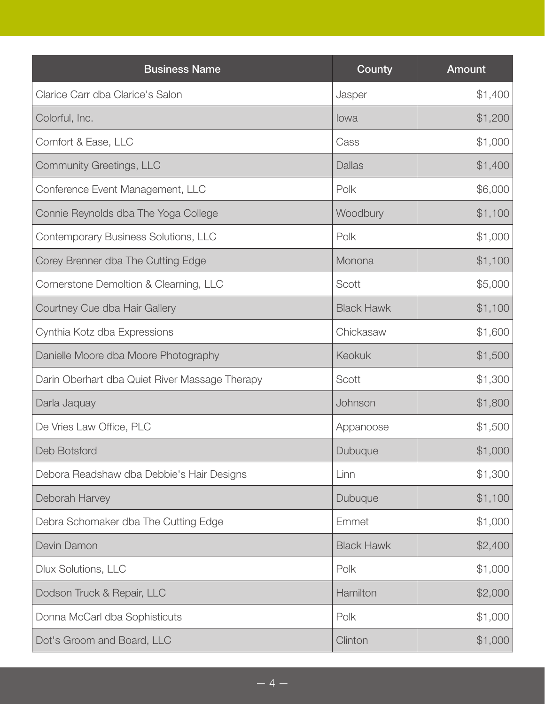| <b>Business Name</b>                           | County            | Amount  |
|------------------------------------------------|-------------------|---------|
| Clarice Carr dba Clarice's Salon               | Jasper            | \$1,400 |
| Colorful, Inc.                                 | lowa              | \$1,200 |
| Comfort & Ease, LLC                            | Cass              | \$1,000 |
| Community Greetings, LLC                       | <b>Dallas</b>     | \$1,400 |
| Conference Event Management, LLC               | Polk              | \$6,000 |
| Connie Reynolds dba The Yoga College           | Woodbury          | \$1,100 |
| Contemporary Business Solutions, LLC           | Polk              | \$1,000 |
| Corey Brenner dba The Cutting Edge             | Monona            | \$1,100 |
| Cornerstone Demoltion & Clearning, LLC         | Scott             | \$5,000 |
| Courtney Cue dba Hair Gallery                  | <b>Black Hawk</b> | \$1,100 |
| Cynthia Kotz dba Expressions                   | Chickasaw         | \$1,600 |
| Danielle Moore dba Moore Photography           | <b>Keokuk</b>     | \$1,500 |
| Darin Oberhart dba Quiet River Massage Therapy | Scott             | \$1,300 |
| Darla Jaquay                                   | Johnson           | \$1,800 |
| De Vries Law Office, PLC                       | Appanoose         | \$1,500 |
| Deb Botsford                                   | Dubuque           | \$1,000 |
| Debora Readshaw dba Debbie's Hair Designs      | Linn              | \$1,300 |
| Deborah Harvey                                 | Dubuque           | \$1,100 |
| Debra Schomaker dba The Cutting Edge           | Emmet             | \$1,000 |
| Devin Damon                                    | <b>Black Hawk</b> | \$2,400 |
| <b>Dlux Solutions, LLC</b>                     | Polk              | \$1,000 |
| Dodson Truck & Repair, LLC                     | Hamilton          | \$2,000 |
| Donna McCarl dba Sophisticuts                  | Polk              | \$1,000 |
| Dot's Groom and Board, LLC                     | Clinton           | \$1,000 |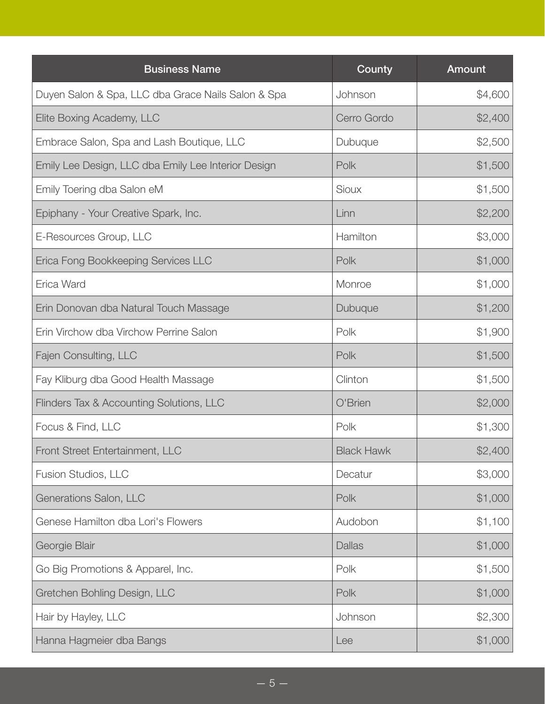| <b>Business Name</b>                                | County            | <b>Amount</b> |
|-----------------------------------------------------|-------------------|---------------|
| Duyen Salon & Spa, LLC dba Grace Nails Salon & Spa  | Johnson           | \$4,600       |
| Elite Boxing Academy, LLC                           | Cerro Gordo       | \$2,400       |
| Embrace Salon, Spa and Lash Boutique, LLC           | Dubuque           | \$2,500       |
| Emily Lee Design, LLC dba Emily Lee Interior Design | Polk              | \$1,500       |
| Emily Toering dba Salon eM                          | Sioux             | \$1,500       |
| Epiphany - Your Creative Spark, Inc.                | Linn              | \$2,200       |
| E-Resources Group, LLC                              | Hamilton          | \$3,000       |
| Erica Fong Bookkeeping Services LLC                 | Polk              | \$1,000       |
| Erica Ward                                          | Monroe            | \$1,000       |
| Erin Donovan dba Natural Touch Massage              | Dubuque           | \$1,200       |
| Erin Virchow dba Virchow Perrine Salon              | Polk              | \$1,900       |
| Fajen Consulting, LLC                               | Polk              | \$1,500       |
| Fay Kliburg dba Good Health Massage                 | Clinton           | \$1,500       |
| Flinders Tax & Accounting Solutions, LLC            | O'Brien           | \$2,000       |
| Focus & Find, LLC                                   | Polk              | \$1,300       |
| Front Street Entertainment, LLC                     | <b>Black Hawk</b> | \$2,400       |
| Fusion Studios, LLC                                 | Decatur           | \$3,000       |
| Generations Salon, LLC                              | Polk              | \$1,000       |
| Genese Hamilton dba Lori's Flowers                  | Audobon           | \$1,100       |
| Georgie Blair                                       | <b>Dallas</b>     | \$1,000       |
| Go Big Promotions & Apparel, Inc.                   | Polk              | \$1,500       |
| Gretchen Bohling Design, LLC                        | Polk              | \$1,000       |
| Hair by Hayley, LLC                                 | Johnson           | \$2,300       |
| Hanna Hagmeier dba Bangs                            | Lee               | \$1,000       |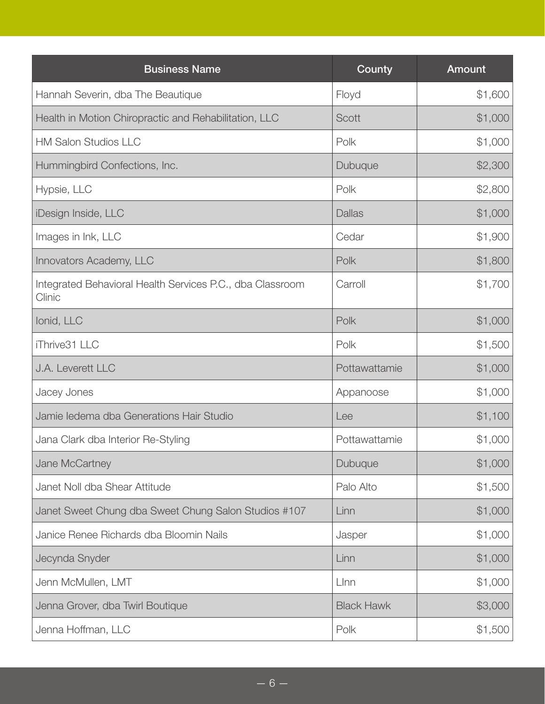| <b>Business Name</b>                                                | County            | Amount  |
|---------------------------------------------------------------------|-------------------|---------|
| Hannah Severin, dba The Beautique                                   | Floyd             | \$1,600 |
| Health in Motion Chiropractic and Rehabilitation, LLC               | Scott             | \$1,000 |
| <b>HM Salon Studios LLC</b>                                         | Polk              | \$1,000 |
| Hummingbird Confections, Inc.                                       | Dubuque           | \$2,300 |
| Hypsie, LLC                                                         | Polk              | \$2,800 |
| iDesign Inside, LLC                                                 | <b>Dallas</b>     | \$1,000 |
| Images in Ink, LLC                                                  | Cedar             | \$1,900 |
| Innovators Academy, LLC                                             | Polk              | \$1,800 |
| Integrated Behavioral Health Services P.C., dba Classroom<br>Clinic | Carroll           | \$1,700 |
| Ionid, LLC                                                          | Polk              | \$1,000 |
| iThrive31 LLC                                                       | Polk              | \$1,500 |
| J.A. Leverett LLC                                                   | Pottawattamie     | \$1,000 |
| Jacey Jones                                                         | Appanoose         | \$1,000 |
| Jamie ledema dba Generations Hair Studio                            | Lee               | \$1,100 |
| Jana Clark dba Interior Re-Styling                                  | Pottawattamie     | \$1,000 |
| Jane McCartney                                                      | Dubuque           | \$1,000 |
| Janet Noll dba Shear Attitude                                       | Palo Alto         | \$1,500 |
| Janet Sweet Chung dba Sweet Chung Salon Studios #107                | Linn              | \$1,000 |
| Janice Renee Richards dba Bloomin Nails                             | Jasper            | \$1,000 |
| Jecynda Snyder                                                      | Linn              | \$1,000 |
| Jenn McMullen, LMT                                                  | Llnn              | \$1,000 |
| Jenna Grover, dba Twirl Boutique                                    | <b>Black Hawk</b> | \$3,000 |
| Jenna Hoffman, LLC                                                  | Polk              | \$1,500 |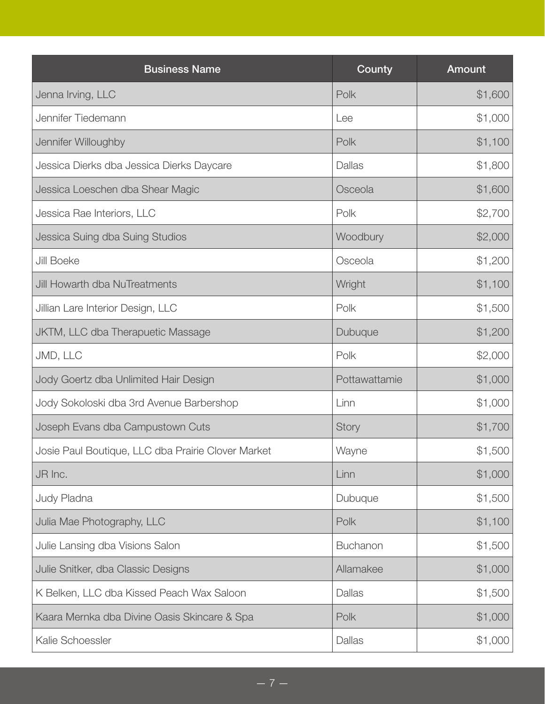| <b>Business Name</b>                               | County          | Amount  |
|----------------------------------------------------|-----------------|---------|
| Jenna Irving, LLC                                  | Polk            | \$1,600 |
| Jennifer Tiedemann                                 | Lee             | \$1,000 |
| Jennifer Willoughby                                | Polk            | \$1,100 |
| Jessica Dierks dba Jessica Dierks Daycare          | Dallas          | \$1,800 |
| Jessica Loeschen dba Shear Magic                   | Osceola         | \$1,600 |
| Jessica Rae Interiors, LLC                         | Polk            | \$2,700 |
| Jessica Suing dba Suing Studios                    | Woodbury        | \$2,000 |
| Jill Boeke                                         | Osceola         | \$1,200 |
| <b>Jill Howarth dba NuTreatments</b>               | Wright          | \$1,100 |
| Jillian Lare Interior Design, LLC                  | Polk            | \$1,500 |
| JKTM, LLC dba Therapuetic Massage                  | Dubuque         | \$1,200 |
| JMD, LLC                                           | Polk            | \$2,000 |
| Jody Goertz dba Unlimited Hair Design              | Pottawattamie   | \$1,000 |
| Jody Sokoloski dba 3rd Avenue Barbershop           | Linn            | \$1,000 |
| Joseph Evans dba Campustown Cuts                   | Story           | \$1,700 |
| Josie Paul Boutique, LLC dba Prairie Clover Market | Wayne           | \$1,500 |
| JR Inc.                                            | Linn            | \$1,000 |
| Judy Pladna                                        | Dubuque         | \$1,500 |
| Julia Mae Photography, LLC                         | Polk            | \$1,100 |
| Julie Lansing dba Visions Salon                    | <b>Buchanon</b> | \$1,500 |
| Julie Snitker, dba Classic Designs                 | Allamakee       | \$1,000 |
| K Belken, LLC dba Kissed Peach Wax Saloon          | Dallas          | \$1,500 |
| Kaara Mernka dba Divine Oasis Skincare & Spa       | Polk            | \$1,000 |
| Kalie Schoessler                                   | Dallas          | \$1,000 |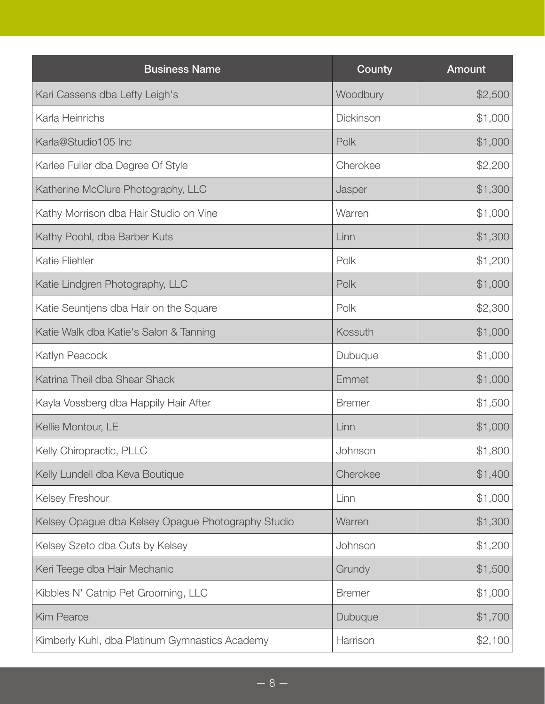| <b>Business Name</b>                               | County        | <b>Amount</b> |
|----------------------------------------------------|---------------|---------------|
| Kari Cassens dba Lefty Leigh's                     | Woodbury      | \$2,500       |
| Karla Heinrichs                                    | Dickinson     | \$1,000       |
| Karla@Studio105 Inc                                | Polk          | \$1,000       |
| Karlee Fuller dba Degree Of Style                  | Cherokee      | \$2,200       |
| Katherine McClure Photography, LLC                 | Jasper        | \$1,300       |
| Kathy Morrison dba Hair Studio on Vine             | Warren        | \$1,000       |
| Kathy Poohl, dba Barber Kuts                       | Linn          | \$1,300       |
| <b>Katie Fliehler</b>                              | Polk          | \$1,200       |
| Katie Lindgren Photography, LLC                    | Polk          | \$1,000       |
| Katie Seuntjens dba Hair on the Square             | Polk          | \$2,300       |
| Katie Walk dba Katie's Salon & Tanning             | Kossuth       | \$1,000       |
| Katlyn Peacock                                     | Dubuque       | \$1,000       |
| Katrina Theil dba Shear Shack                      | Emmet         | \$1,000       |
| Kayla Vossberg dba Happily Hair After              | <b>Bremer</b> | \$1,500       |
| Kellie Montour, LE                                 | Linn          | \$1,000       |
| Kelly Chiropractic, PLLC                           | Johnson       | \$1,800       |
| Kelly Lundell dba Keva Boutique                    | Cherokee      | \$1,400       |
| Kelsey Freshour                                    | Linn          | \$1,000       |
| Kelsey Opague dba Kelsey Opague Photography Studio | Warren        | \$1,300       |
| Kelsey Szeto dba Cuts by Kelsey                    | Johnson       | \$1,200       |
| Keri Teege dba Hair Mechanic                       | Grundy        | \$1,500       |
| Kibbles N' Catnip Pet Grooming, LLC                | <b>Bremer</b> | \$1,000       |
| <b>Kim Pearce</b>                                  | Dubuque       | \$1,700       |
| Kimberly Kuhl, dba Platinum Gymnastics Academy     | Harrison      | \$2,100       |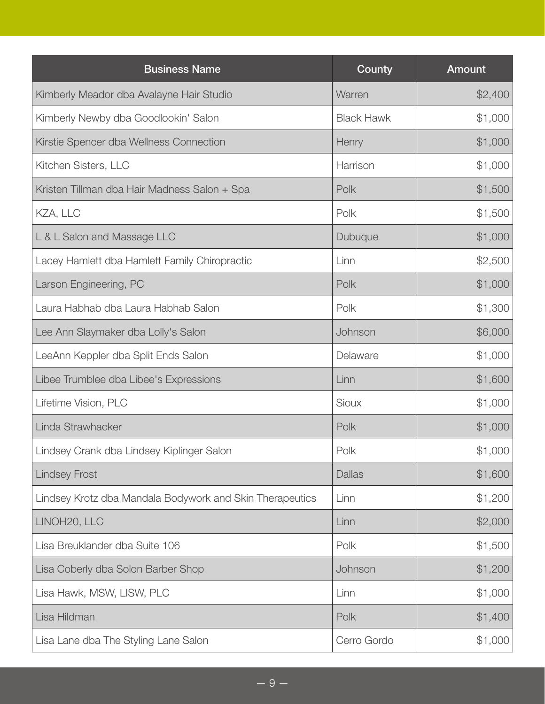| <b>Business Name</b>                                     | County            | <b>Amount</b> |
|----------------------------------------------------------|-------------------|---------------|
| Kimberly Meador dba Avalayne Hair Studio                 | Warren            | \$2,400       |
| Kimberly Newby dba Goodlookin' Salon                     | <b>Black Hawk</b> | \$1,000       |
| Kirstie Spencer dba Wellness Connection                  | Henry             | \$1,000       |
| Kitchen Sisters, LLC                                     | Harrison          | \$1,000       |
| Kristen Tillman dba Hair Madness Salon + Spa             | Polk              | \$1,500       |
| KZA, LLC                                                 | Polk              | \$1,500       |
| L & L Salon and Massage LLC                              | Dubuque           | \$1,000       |
| Lacey Hamlett dba Hamlett Family Chiropractic            | Linn              | \$2,500       |
| Larson Engineering, PC                                   | Polk              | \$1,000       |
| Laura Habhab dba Laura Habhab Salon                      | Polk              | \$1,300       |
| Lee Ann Slaymaker dba Lolly's Salon                      | Johnson           | \$6,000       |
| LeeAnn Keppler dba Split Ends Salon                      | Delaware          | \$1,000       |
| Libee Trumblee dba Libee's Expressions                   | Linn              | \$1,600       |
| Lifetime Vision, PLC                                     | <b>Sioux</b>      | \$1,000       |
| Linda Strawhacker                                        | Polk              | \$1,000       |
| Lindsey Crank dba Lindsey Kiplinger Salon                | Polk              | \$1,000       |
| <b>Lindsey Frost</b>                                     | <b>Dallas</b>     | \$1,600       |
| Lindsey Krotz dba Mandala Bodywork and Skin Therapeutics | Linn              | \$1,200       |
| LINOH20, LLC                                             | Linn              | \$2,000       |
| Lisa Breuklander dba Suite 106                           | Polk              | \$1,500       |
| Lisa Coberly dba Solon Barber Shop                       | Johnson           | \$1,200       |
| Lisa Hawk, MSW, LISW, PLC                                | Linn              | \$1,000       |
| Lisa Hildman                                             | Polk              | \$1,400       |
| Lisa Lane dba The Styling Lane Salon                     | Cerro Gordo       | \$1,000       |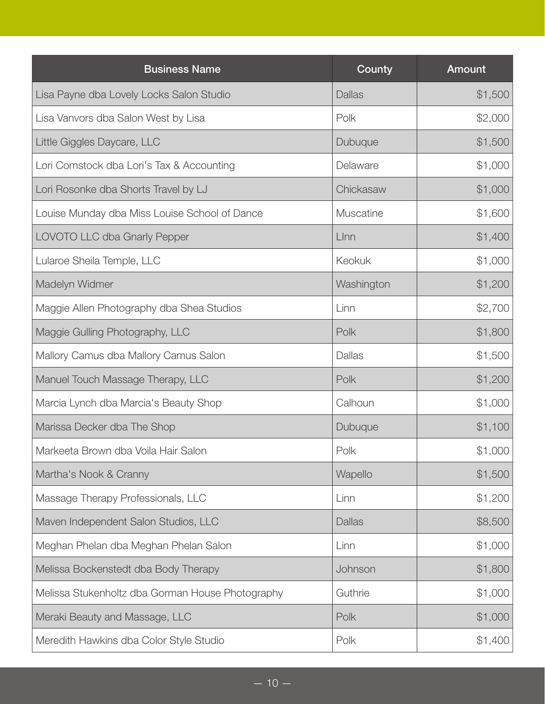| <b>Business Name</b>                             | County           | <b>Amount</b> |
|--------------------------------------------------|------------------|---------------|
| Lisa Payne dba Lovely Locks Salon Studio         | <b>Dallas</b>    | \$1,500       |
| Lisa Vanvors dba Salon West by Lisa              | Polk             | \$2,000       |
| Little Giggles Daycare, LLC                      | Dubuque          | \$1,500       |
| Lori Comstock dba Lori's Tax & Accounting        | Delaware         | \$1,000       |
| Lori Rosonke dba Shorts Travel by LJ             | Chickasaw        | \$1,000       |
| Louise Munday dba Miss Louise School of Dance    | <b>Muscatine</b> | \$1,600       |
| LOVOTO LLC dba Gnarly Pepper                     | LInn             | \$1,400       |
| Lularoe Sheila Temple, LLC                       | <b>Keokuk</b>    | \$1,000       |
| Madelyn Widmer                                   | Washington       | \$1,200       |
| Maggie Allen Photography dba Shea Studios        | Linn             | \$2,700       |
| Maggie Gulling Photography, LLC                  | Polk             | \$1,800       |
| Mallory Camus dba Mallory Camus Salon            | Dallas           | \$1,500       |
| Manuel Touch Massage Therapy, LLC                | Polk             | \$1,200       |
| Marcia Lynch dba Marcia's Beauty Shop            | Calhoun          | \$1,000       |
| Marissa Decker dba The Shop                      | Dubuque          | \$1,100       |
| Markeeta Brown dba Voila Hair Salon              | Polk             | \$1,000       |
| Martha's Nook & Cranny                           | Wapello          | \$1,500       |
| Massage Therapy Professionals, LLC               | Linn             | \$1,200       |
| Maven Independent Salon Studios, LLC             | <b>Dallas</b>    | \$8,500       |
| Meghan Phelan dba Meghan Phelan Salon            | Linn             | \$1,000       |
| Melissa Bockenstedt dba Body Therapy             | Johnson          | \$1,800       |
| Melissa Stukenholtz dba Gorman House Photography | Guthrie          | \$1,000       |
| Meraki Beauty and Massage, LLC                   | Polk             | \$1,000       |
| Meredith Hawkins dba Color Style Studio          | Polk             | \$1,400       |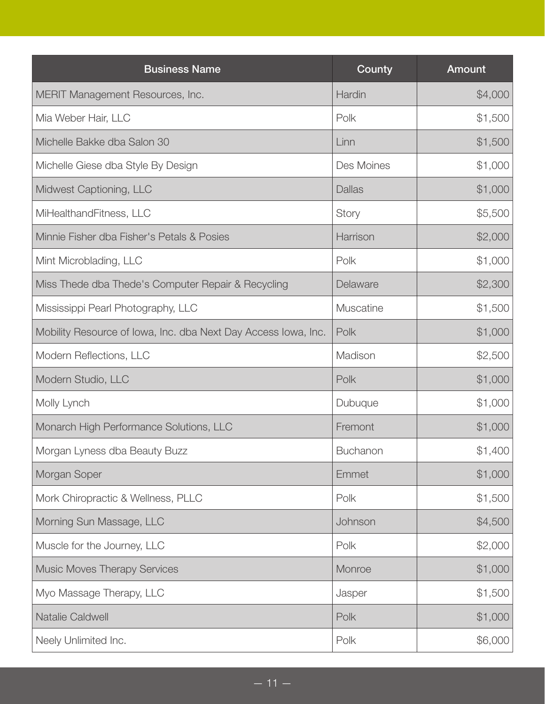| <b>Business Name</b>                                           | County          | Amount  |
|----------------------------------------------------------------|-----------------|---------|
| MERIT Management Resources, Inc.                               | Hardin          | \$4,000 |
| Mia Weber Hair, LLC                                            | Polk            | \$1,500 |
| Michelle Bakke dba Salon 30                                    | Linn            | \$1,500 |
| Michelle Giese dba Style By Design                             | Des Moines      | \$1,000 |
| Midwest Captioning, LLC                                        | <b>Dallas</b>   | \$1,000 |
| MiHealthandFitness, LLC                                        | Story           | \$5,500 |
| Minnie Fisher dba Fisher's Petals & Posies                     | Harrison        | \$2,000 |
| Mint Microblading, LLC                                         | Polk            | \$1,000 |
| Miss Thede dba Thede's Computer Repair & Recycling             | Delaware        | \$2,300 |
| Mississippi Pearl Photography, LLC                             | Muscatine       | \$1,500 |
| Mobility Resource of Iowa, Inc. dba Next Day Access Iowa, Inc. | Polk            | \$1,000 |
| Modern Reflections, LLC                                        | Madison         | \$2,500 |
| Modern Studio, LLC                                             | Polk            | \$1,000 |
| Molly Lynch                                                    | Dubuque         | \$1,000 |
| Monarch High Performance Solutions, LLC                        | Fremont         | \$1,000 |
| Morgan Lyness dba Beauty Buzz                                  | <b>Buchanon</b> | \$1,400 |
| Morgan Soper                                                   | Emmet           | \$1,000 |
| Mork Chiropractic & Wellness, PLLC                             | Polk            | \$1,500 |
| Morning Sun Massage, LLC                                       | Johnson         | \$4,500 |
| Muscle for the Journey, LLC                                    | Polk            | \$2,000 |
| <b>Music Moves Therapy Services</b>                            | Monroe          | \$1,000 |
| Myo Massage Therapy, LLC                                       | Jasper          | \$1,500 |
| Natalie Caldwell                                               | Polk            | \$1,000 |
| Neely Unlimited Inc.                                           | Polk            | \$6,000 |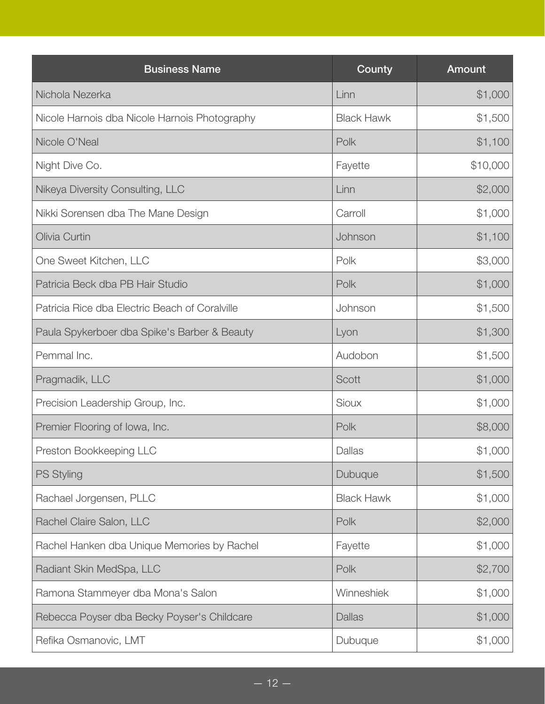| <b>Business Name</b>                           | County            | Amount   |
|------------------------------------------------|-------------------|----------|
| Nichola Nezerka                                | Linn              | \$1,000  |
| Nicole Harnois dba Nicole Harnois Photography  | <b>Black Hawk</b> | \$1,500  |
| Nicole O'Neal                                  | Polk              | \$1,100  |
| Night Dive Co.                                 | Fayette           | \$10,000 |
| Nikeya Diversity Consulting, LLC               | Linn              | \$2,000  |
| Nikki Sorensen dba The Mane Design             | Carroll           | \$1,000  |
| Olivia Curtin                                  | Johnson           | \$1,100  |
| One Sweet Kitchen, LLC                         | Polk              | \$3,000  |
| Patricia Beck dba PB Hair Studio               | Polk              | \$1,000  |
| Patricia Rice dba Electric Beach of Coralville | Johnson           | \$1,500  |
| Paula Spykerboer dba Spike's Barber & Beauty   | Lyon              | \$1,300  |
| Pemmal Inc.                                    | Audobon           | \$1,500  |
| Pragmadik, LLC                                 | Scott             | \$1,000  |
| Precision Leadership Group, Inc.               | Sioux             | \$1,000  |
| Premier Flooring of Iowa, Inc.                 | Polk              | \$8,000  |
| Preston Bookkeeping LLC                        | Dallas            | \$1,000  |
| <b>PS Styling</b>                              | Dubuque           | \$1,500  |
| Rachael Jorgensen, PLLC                        | <b>Black Hawk</b> | \$1,000  |
| Rachel Claire Salon, LLC                       | Polk              | \$2,000  |
| Rachel Hanken dba Unique Memories by Rachel    | Fayette           | \$1,000  |
| Radiant Skin MedSpa, LLC                       | Polk              | \$2,700  |
| Ramona Stammeyer dba Mona's Salon              | Winneshiek        | \$1,000  |
| Rebecca Poyser dba Becky Poyser's Childcare    | Dallas            | \$1,000  |
| Refika Osmanovic, LMT                          | Dubuque           | \$1,000  |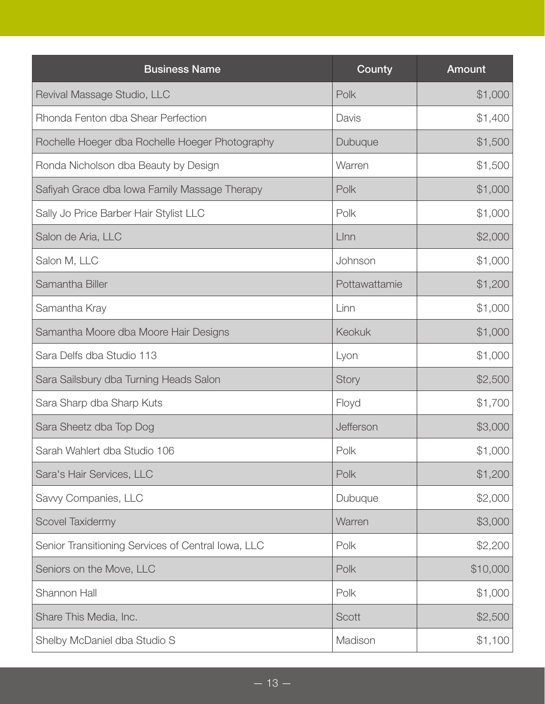| <b>Business Name</b>                               | County        | <b>Amount</b> |
|----------------------------------------------------|---------------|---------------|
| Revival Massage Studio, LLC                        | Polk          | \$1,000       |
| Rhonda Fenton dba Shear Perfection                 | Davis         | \$1,400       |
| Rochelle Hoeger dba Rochelle Hoeger Photography    | Dubuque       | \$1,500       |
| Ronda Nicholson dba Beauty by Design               | Warren        | \$1,500       |
| Safiyah Grace dba Iowa Family Massage Therapy      | Polk          | \$1,000       |
| Sally Jo Price Barber Hair Stylist LLC             | Polk          | \$1,000       |
| Salon de Aria, LLC                                 | Llnn          | \$2,000       |
| Salon M, LLC                                       | Johnson       | \$1,000       |
| Samantha Biller                                    | Pottawattamie | \$1,200       |
| Samantha Kray                                      | Linn          | \$1,000       |
| Samantha Moore dba Moore Hair Designs              | Keokuk        | \$1,000       |
| Sara Delfs dba Studio 113                          | Lyon          | \$1,000       |
| Sara Sailsbury dba Turning Heads Salon             | Story         | \$2,500       |
| Sara Sharp dba Sharp Kuts                          | Floyd         | \$1,700       |
| Sara Sheetz dba Top Dog                            | Jefferson     | \$3,000       |
| Sarah Wahlert dba Studio 106                       | Polk          | \$1,000       |
| Sara's Hair Services, LLC                          | Polk          | \$1,200       |
| Savvy Companies, LLC                               | Dubuque       | \$2,000       |
| Scovel Taxidermy                                   | Warren        | \$3,000       |
| Senior Transitioning Services of Central Iowa, LLC | Polk          | \$2,200       |
| Seniors on the Move, LLC                           | Polk          | \$10,000      |
| Shannon Hall                                       | Polk          | \$1,000       |
| Share This Media, Inc.                             | Scott         | \$2,500       |
| Shelby McDaniel dba Studio S                       | Madison       | \$1,100       |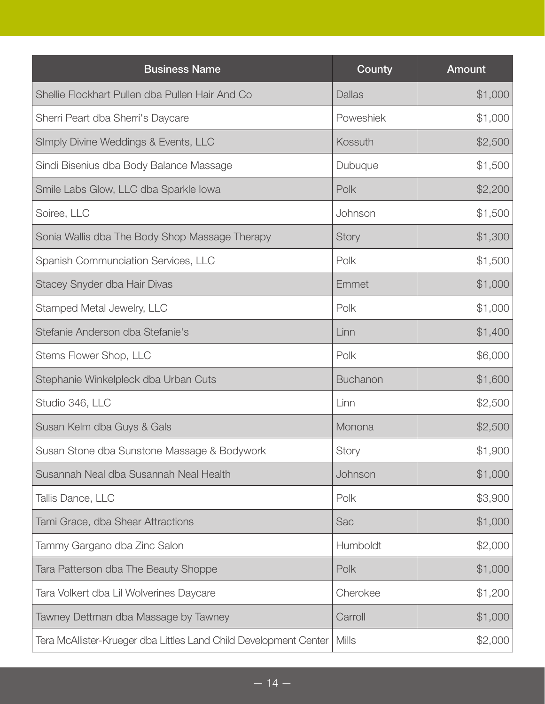| <b>Business Name</b>                                              | County          | Amount  |
|-------------------------------------------------------------------|-----------------|---------|
| Shellie Flockhart Pullen dba Pullen Hair And Co                   | <b>Dallas</b>   | \$1,000 |
| Sherri Peart dba Sherri's Daycare                                 | Poweshiek       | \$1,000 |
| SImply Divine Weddings & Events, LLC                              | Kossuth         | \$2,500 |
| Sindi Bisenius dba Body Balance Massage                           | Dubuque         | \$1,500 |
| Smile Labs Glow, LLC dba Sparkle Iowa                             | Polk            | \$2,200 |
| Soiree, LLC                                                       | Johnson         | \$1,500 |
| Sonia Wallis dba The Body Shop Massage Therapy                    | <b>Story</b>    | \$1,300 |
| Spanish Communciation Services, LLC                               | Polk            | \$1,500 |
| Stacey Snyder dba Hair Divas                                      | Emmet           | \$1,000 |
| Stamped Metal Jewelry, LLC                                        | Polk            | \$1,000 |
| Stefanie Anderson dba Stefanie's                                  | Linn            | \$1,400 |
| Stems Flower Shop, LLC                                            | Polk            | \$6,000 |
| Stephanie Winkelpleck dba Urban Cuts                              | <b>Buchanon</b> | \$1,600 |
| Studio 346, LLC                                                   | Linn            | \$2,500 |
| Susan Kelm dba Guys & Gals                                        | Monona          | \$2,500 |
| Susan Stone dba Sunstone Massage & Bodywork                       | Story           | \$1,900 |
| Susannah Neal dba Susannah Neal Health                            | Johnson         | \$1,000 |
| Tallis Dance, LLC                                                 | Polk            | \$3,900 |
| Tami Grace, dba Shear Attractions                                 | Sac             | \$1,000 |
| Tammy Gargano dba Zinc Salon                                      | Humboldt        | \$2,000 |
| Tara Patterson dba The Beauty Shoppe                              | Polk            | \$1,000 |
| Tara Volkert dba Lil Wolverines Daycare                           | Cherokee        | \$1,200 |
| Tawney Dettman dba Massage by Tawney                              | Carroll         | \$1,000 |
| Tera McAllister-Krueger dba Littles Land Child Development Center | <b>Mills</b>    | \$2,000 |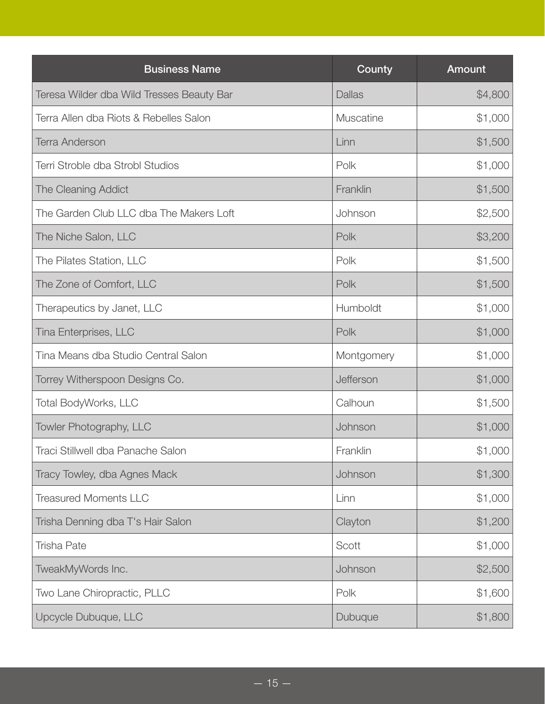| <b>Business Name</b>                      | County        | <b>Amount</b> |
|-------------------------------------------|---------------|---------------|
| Teresa Wilder dba Wild Tresses Beauty Bar | <b>Dallas</b> | \$4,800       |
| Terra Allen dba Riots & Rebelles Salon    | Muscatine     | \$1,000       |
| <b>Terra Anderson</b>                     | Linn          | \$1,500       |
| Terri Stroble dba Strobl Studios          | Polk          | \$1,000       |
| The Cleaning Addict                       | Franklin      | \$1,500       |
| The Garden Club LLC dba The Makers Loft   | Johnson       | \$2,500       |
| The Niche Salon, LLC                      | Polk          | \$3,200       |
| The Pilates Station, LLC                  | Polk          | \$1,500       |
| The Zone of Comfort, LLC                  | Polk          | \$1,500       |
| Therapeutics by Janet, LLC                | Humboldt      | \$1,000       |
| Tina Enterprises, LLC                     | Polk          | \$1,000       |
| Tina Means dba Studio Central Salon       | Montgomery    | \$1,000       |
| Torrey Witherspoon Designs Co.            | Jefferson     | \$1,000       |
| Total BodyWorks, LLC                      | Calhoun       | \$1,500       |
| Towler Photography, LLC                   | Johnson       | \$1,000       |
| Traci Stillwell dba Panache Salon         | Franklin      | \$1,000       |
| Tracy Towley, dba Agnes Mack              | Johnson       | \$1,300       |
| <b>Treasured Moments LLC</b>              | Linn          | \$1,000       |
| Trisha Denning dba T's Hair Salon         | Clayton       | \$1,200       |
| <b>Trisha Pate</b>                        | Scott         | \$1,000       |
| TweakMyWords Inc.                         | Johnson       | \$2,500       |
| Two Lane Chiropractic, PLLC               | Polk          | \$1,600       |
| Upcycle Dubuque, LLC                      | Dubuque       | \$1,800       |